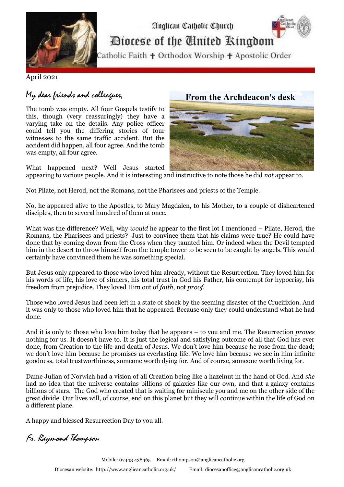

## Diocese of the United Ringdom

Anglican Catholic Church

Catholic Faith + Orthodox Worship + Apostolic Order

April 2021

## My dear friends and colleagues,

The tomb was empty. All four Gospels testify to this, though (very reassuringly) they have a varying take on the details. Any police officer could tell you the differing stories of four witnesses to the same traffic accident. But the accident did happen, all four agree. And the tomb was empty, all four agree.

What happened next? Well Jesus started

## **From the Archdeacon's desk**



appearing to various people. And it is interesting and instructive to note those he did *not* appear to.

Not Pilate, not Herod, not the Romans, not the Pharisees and priests of the Temple.

No, he appeared alive to the Apostles, to Mary Magdalen, to his Mother, to a couple of disheartened disciples, then to several hundred of them at once.

What was the difference? Well, why *would* he appear to the first lot I mentioned – Pilate, Herod, the Romans, the Pharisees and priests? Just to convince them that his claims were true? He could have done that by coming down from the Cross when they taunted him. Or indeed when the Devil tempted him in the desert to throw himself from the temple tower to be seen to be caught by angels. This would certainly have convinced them he was something special.

But Jesus only appeared to those who loved him already, without the Resurrection. They loved him for his words of life, his love of sinners, his total trust in God his Father, his contempt for hypocrisy, his freedom from prejudice. They loved Him out of *faith*, not *proof.*

Those who loved Jesus had been left in a state of shock by the seeming disaster of the Crucifixion. And it was only to those who loved him that he appeared. Because only they could understand what he had done.

And it is only to those who love him today that he appears – to you and me. The Resurrection *proves* nothing for us. It doesn't have to. It is just the logical and satisfying outcome of all that God has ever done, from Creation to the life and death of Jesus. We don't love him because he rose from the dead; we don't love him because he promises us everlasting life. We love him because we see in him infinite goodness, total trustworthiness, someone worth dying for. And of course, someone worth living for.

Dame Julian of Norwich had a vision of all Creation being like a hazelnut in the hand of God. And *she* had no idea that the universe contains billions of galaxies like our own, and that a galaxy contains billions of stars. The God who created that is waiting for miniscule you and me on the other side of the great divide. Our lives will, of course, end on this planet but they will continue within the life of God on a different plane.

A happy and blessed Resurrection Day to you all.

Fr. Raymond Thompson